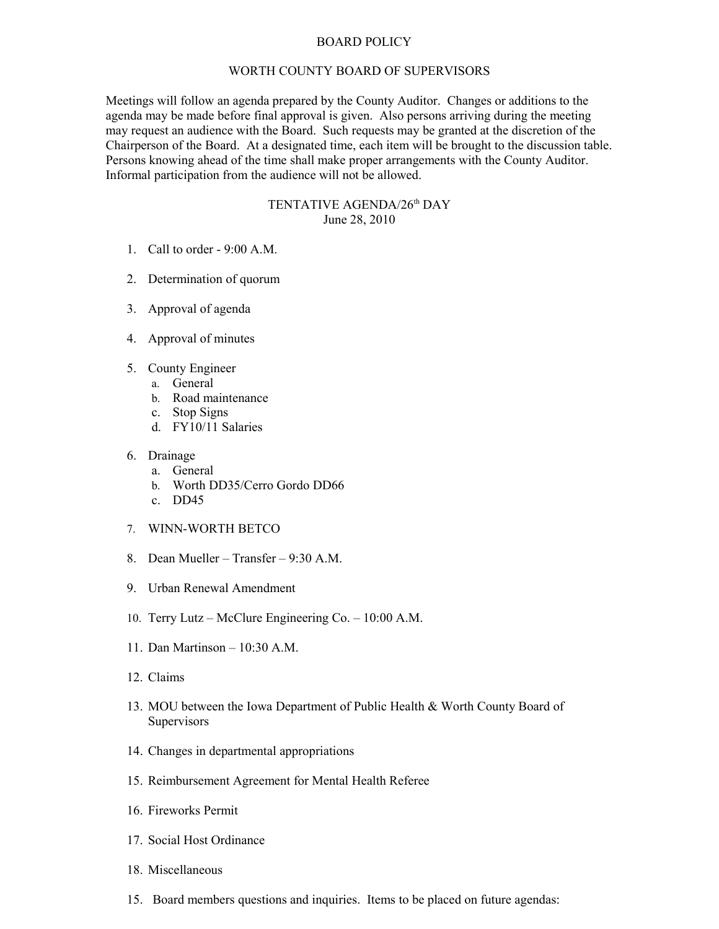## BOARD POLICY

## WORTH COUNTY BOARD OF SUPERVISORS

Meetings will follow an agenda prepared by the County Auditor. Changes or additions to the agenda may be made before final approval is given. Also persons arriving during the meeting may request an audience with the Board. Such requests may be granted at the discretion of the Chairperson of the Board. At a designated time, each item will be brought to the discussion table. Persons knowing ahead of the time shall make proper arrangements with the County Auditor. Informal participation from the audience will not be allowed.

## TENTATIVE AGENDA/26<sup>th</sup> DAY June 28, 2010

- 1. Call to order 9:00 A.M.
- 2. Determination of quorum
- 3. Approval of agenda
- 4. Approval of minutes
- 5. County Engineer
	- a. General
		- b. Road maintenance
		- c. Stop Signs
		- d. FY10/11 Salaries
- 6. Drainage
	- a. General
	- b. Worth DD35/Cerro Gordo DD66
	- c. DD45
- 7. WINN-WORTH BETCO
- 8. Dean Mueller Transfer  $9.30 \text{ A M}$ .
- 9. Urban Renewal Amendment
- 10. Terry Lutz McClure Engineering Co. 10:00 A.M.
- 11. Dan Martinson 10:30 A.M.
- 12. Claims
- 13. MOU between the Iowa Department of Public Health & Worth County Board of **Supervisors**
- 14. Changes in departmental appropriations
- 15. Reimbursement Agreement for Mental Health Referee
- 16. Fireworks Permit
- 17. Social Host Ordinance
- 18. Miscellaneous
- 15. Board members questions and inquiries. Items to be placed on future agendas: